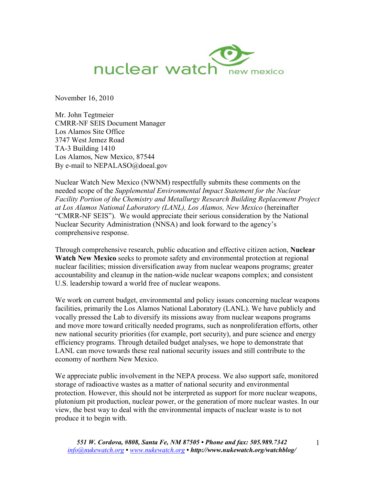

November 16, 2010

Mr. John Tegtmeier CMRR-NF SEIS Document Manager Los Alamos Site Office 3747 West Jemez Road TA-3 Building 1410 Los Alamos, New Mexico, 87544 By e-mail to NEPALASO@doeal.gov

Nuclear Watch New Mexico (NWNM) respectfully submits these comments on the needed scope of the *Supplemental Environmental Impact Statement for the Nuclear Facility Portion of the Chemistry and Metallurgy Research Building Replacement Project at Los Alamos National Laboratory (LANL), Los Alamos, New Mexico* (hereinafter "CMRR-NF SEIS"). We would appreciate their serious consideration by the National Nuclear Security Administration (NNSA) and look forward to the agency's comprehensive response.

Through comprehensive research, public education and effective citizen action, **Nuclear Watch New Mexico** seeks to promote safety and environmental protection at regional nuclear facilities; mission diversification away from nuclear weapons programs; greater accountability and cleanup in the nation-wide nuclear weapons complex; and consistent U.S. leadership toward a world free of nuclear weapons.

We work on current budget, environmental and policy issues concerning nuclear weapons facilities, primarily the Los Alamos National Laboratory (LANL). We have publicly and vocally pressed the Lab to diversify its missions away from nuclear weapons programs and move more toward critically needed programs, such as nonproliferation efforts, other new national security priorities (for example, port security), and pure science and energy efficiency programs. Through detailed budget analyses, we hope to demonstrate that LANL can move towards these real national security issues and still contribute to the economy of northern New Mexico.

We appreciate public involvement in the NEPA process. We also support safe, monitored storage of radioactive wastes as a matter of national security and environmental protection. However, this should not be interpreted as support for more nuclear weapons, plutonium pit production, nuclear power, or the generation of more nuclear wastes. In our view, the best way to deal with the environmental impacts of nuclear waste is to not produce it to begin with.

1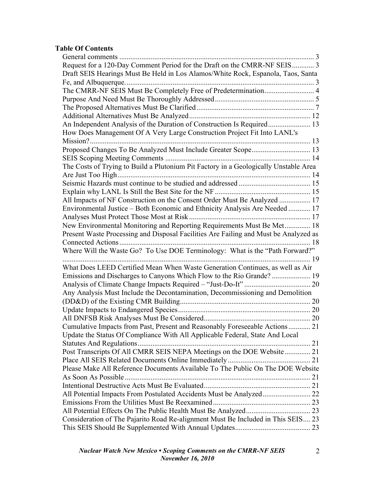# **Table Of Contents**

| Request for a 120-Day Comment Period for the Draft on the CMRR-NF SEIS 3             |    |
|--------------------------------------------------------------------------------------|----|
| Draft SEIS Hearings Must Be Held in Los Alamos/White Rock, Espanola, Taos, Santa     |    |
|                                                                                      |    |
|                                                                                      |    |
|                                                                                      |    |
|                                                                                      |    |
|                                                                                      |    |
| An Independent Analysis of the Duration of Construction Is Required 13               |    |
| How Does Management Of A Very Large Construction Project Fit Into LANL's             |    |
|                                                                                      |    |
| Proposed Changes To Be Analyzed Must Include Greater Scope 13                        |    |
|                                                                                      |    |
| The Costs of Trying to Build a Plutonium Pit Factory in a Geologically Unstable Area |    |
|                                                                                      |    |
|                                                                                      |    |
|                                                                                      |    |
| All Impacts of NF Construction on the Consent Order Must Be Analyzed  17             |    |
| Environmental Justice – Both Economic and Ethnicity Analysis Are Needed  17          |    |
| Analyses Must Protect Those Most at Risk.                                            |    |
| New Environmental Monitoring and Reporting Requirements Must Be Met 18               |    |
| Present Waste Processing and Disposal Facilities Are Failing and Must be Analyzed as |    |
|                                                                                      |    |
| Where Will the Waste Go? To Use DOE Terminology: What is the "Path Forward?"         |    |
|                                                                                      | 19 |
| What Does LEED Certified Mean When Waste Generation Continues, as well as Air        |    |
|                                                                                      |    |
|                                                                                      |    |
| Any Analysis Must Include the Decontamination, Decommissioning and Demolition        |    |
|                                                                                      |    |
|                                                                                      |    |
|                                                                                      |    |
| Cumulative Impacts from Past, Present and Reasonably Foreseeable Actions 21          |    |
| Update the Status Of Compliance With All Applicable Federal, State And Local         |    |
|                                                                                      |    |
| Post Transcripts Of All CMRR SEIS NEPA Meetings on the DOE Website 21                |    |
|                                                                                      |    |
| Please Make All Reference Documents Available To The Public On The DOE Website       |    |
|                                                                                      |    |
|                                                                                      |    |
|                                                                                      |    |
| All Potential Impacts From Postulated Accidents Must be Analyzed 22                  |    |
|                                                                                      |    |
|                                                                                      |    |
| Consideration of The Pajarito Road Re-alignment Must Be Included in This SEIS 23     |    |
|                                                                                      |    |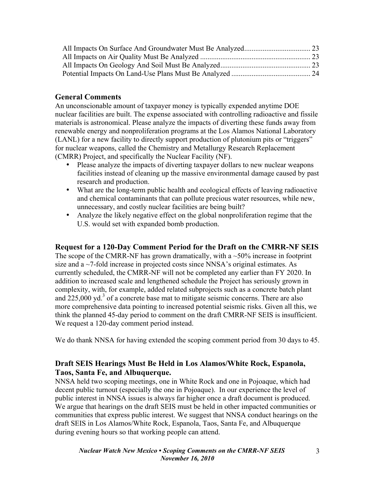# **General Comments**

An unconscionable amount of taxpayer money is typically expended anytime DOE nuclear facilities are built. The expense associated with controlling radioactive and fissile materials is astronomical. Please analyze the impacts of diverting these funds away from renewable energy and nonproliferation programs at the Los Alamos National Laboratory (LANL) for a new facility to directly support production of plutonium pits or "triggers" for nuclear weapons, called the Chemistry and Metallurgy Research Replacement (CMRR) Project, and specifically the Nuclear Facility (NF).

- Please analyze the impacts of diverting taxpayer dollars to new nuclear weapons facilities instead of cleaning up the massive environmental damage caused by past research and production.
- What are the long-term public health and ecological effects of leaving radioactive and chemical contaminants that can pollute precious water resources, while new, unnecessary, and costly nuclear facilities are being built?
- Analyze the likely negative effect on the global nonproliferation regime that the U.S. would set with expanded bomb production.

### **Request for a 120-Day Comment Period for the Draft on the CMRR-NF SEIS**

The scope of the CMRR-NF has grown dramatically, with a  $\sim$ 50% increase in footprint size and  $a \sim$ 7-fold increase in projected costs since NNSA's original estimates. As currently scheduled, the CMRR-NF will not be completed any earlier than FY 2020. In addition to increased scale and lengthened schedule the Project has seriously grown in complexity, with, for example, added related subprojects such as a concrete batch plant and  $225,000$  yd.<sup>3</sup> of a concrete base mat to mitigate seismic concerns. There are also more comprehensive data pointing to increased potential seismic risks. Given all this, we think the planned 45-day period to comment on the draft CMRR-NF SEIS is insufficient. We request a 120-day comment period instead.

We do thank NNSA for having extended the scoping comment period from 30 days to 45.

## **Draft SEIS Hearings Must Be Held in Los Alamos/White Rock, Espanola, Taos, Santa Fe, and Albuquerque.**

NNSA held two scoping meetings, one in White Rock and one in Pojoaque, which had decent public turnout (especially the one in Pojoaque). In our experience the level of public interest in NNSA issues is always far higher once a draft document is produced. We argue that hearings on the draft SEIS must be held in other impacted communities or communities that express public interest. We suggest that NNSA conduct hearings on the draft SEIS in Los Alamos/White Rock, Espanola, Taos, Santa Fe, and Albuquerque during evening hours so that working people can attend.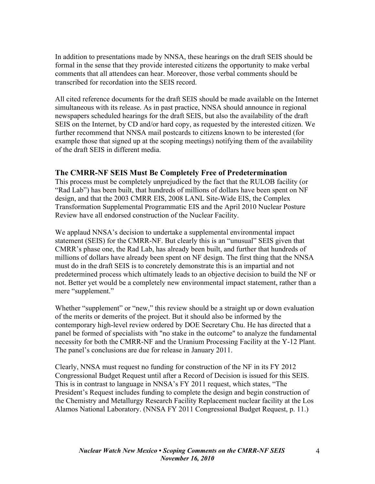In addition to presentations made by NNSA, these hearings on the draft SEIS should be formal in the sense that they provide interested citizens the opportunity to make verbal comments that all attendees can hear. Moreover, those verbal comments should be transcribed for recordation into the SEIS record.

All cited reference documents for the draft SEIS should be made available on the Internet simultaneous with its release. As in past practice, NNSA should announce in regional newspapers scheduled hearings for the draft SEIS, but also the availability of the draft SEIS on the Internet, by CD and/or hard copy, as requested by the interested citizen. We further recommend that NNSA mail postcards to citizens known to be interested (for example those that signed up at the scoping meetings) notifying them of the availability of the draft SEIS in different media.

### **The CMRR-NF SEIS Must Be Completely Free of Predetermination**

This process must be completely unprejudiced by the fact that the RULOB facility (or "Rad Lab") has been built, that hundreds of millions of dollars have been spent on NF design, and that the 2003 CMRR EIS, 2008 LANL Site-Wide EIS, the Complex Transformation Supplemental Programmatic EIS and the April 2010 Nuclear Posture Review have all endorsed construction of the Nuclear Facility.

We applaud NNSA's decision to undertake a supplemental environmental impact statement (SEIS) for the CMRR-NF. But clearly this is an "unusual" SEIS given that CMRR's phase one, the Rad Lab, has already been built, and further that hundreds of millions of dollars have already been spent on NF design. The first thing that the NNSA must do in the draft SEIS is to concretely demonstrate this is an impartial and not predetermined process which ultimately leads to an objective decision to build the NF or not. Better yet would be a completely new environmental impact statement, rather than a mere "supplement."

Whether "supplement" or "new," this review should be a straight up or down evaluation of the merits or demerits of the project. But it should also be informed by the contemporary high-level review ordered by DOE Secretary Chu. He has directed that a panel be formed of specialists with "no stake in the outcome" to analyze the fundamental necessity for both the CMRR-NF and the Uranium Processing Facility at the Y-12 Plant. The panel's conclusions are due for release in January 2011.

Clearly, NNSA must request no funding for construction of the NF in its FY 2012 Congressional Budget Request until after a Record of Decision is issued for this SEIS. This is in contrast to language in NNSA's FY 2011 request, which states, "The President's Request includes funding to complete the design and begin construction of the Chemistry and Metallurgy Research Facility Replacement nuclear facility at the Los Alamos National Laboratory. (NNSA FY 2011 Congressional Budget Request, p. 11.)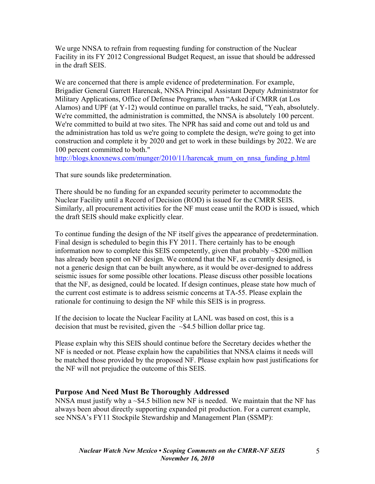We urge NNSA to refrain from requesting funding for construction of the Nuclear Facility in its FY 2012 Congressional Budget Request, an issue that should be addressed in the draft SEIS.

We are concerned that there is ample evidence of predetermination. For example, Brigadier General Garrett Harencak, NNSA Principal Assistant Deputy Administrator for Military Applications, Office of Defense Programs, when "Asked if CMRR (at Los Alamos) and UPF (at Y-12) would continue on parallel tracks, he said, "Yeah, absolutely. We're committed, the administration is committed, the NNSA is absolutely 100 percent. We're committed to build at two sites. The NPR has said and come out and told us and the administration has told us we're going to complete the design, we're going to get into construction and complete it by 2020 and get to work in these buildings by 2022. We are 100 percent committed to both."

http://blogs.knoxnews.com/munger/2010/11/harencak\_mum\_on\_nnsa\_funding\_p.html

That sure sounds like predetermination.

There should be no funding for an expanded security perimeter to accommodate the Nuclear Facility until a Record of Decision (ROD) is issued for the CMRR SEIS. Similarly, all procurement activities for the NF must cease until the ROD is issued, which the draft SEIS should make explicitly clear.

To continue funding the design of the NF itself gives the appearance of predetermination. Final design is scheduled to begin this FY 2011. There certainly has to be enough information now to complete this SEIS competently, given that probably ~\$200 million has already been spent on NF design. We contend that the NF, as currently designed, is not a generic design that can be built anywhere, as it would be over-designed to address seismic issues for some possible other locations. Please discuss other possible locations that the NF, as designed, could be located. If design continues, please state how much of the current cost estimate is to address seismic concerns at TA-55. Please explain the rationale for continuing to design the NF while this SEIS is in progress.

If the decision to locate the Nuclear Facility at LANL was based on cost, this is a decision that must be revisited, given the  $\sim$ \$4.5 billion dollar price tag.

Please explain why this SEIS should continue before the Secretary decides whether the NF is needed or not. Please explain how the capabilities that NNSA claims it needs will be matched those provided by the proposed NF. Please explain how past justifications for the NF will not prejudice the outcome of this SEIS.

### **Purpose And Need Must Be Thoroughly Addressed**

NNSA must justify why a  $\sim$ \$4.5 billion new NF is needed. We maintain that the NF has always been about directly supporting expanded pit production. For a current example, see NNSA's FY11 Stockpile Stewardship and Management Plan (SSMP):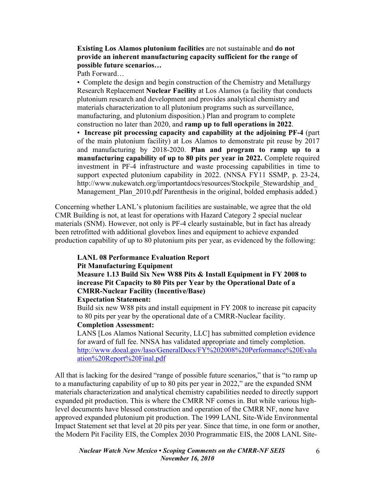#### **Existing Los Alamos plutonium facilities** are not sustainable and **do not provide an inherent manufacturing capacity sufficient for the range of possible future scenarios…**

Path Forward…

• Complete the design and begin construction of the Chemistry and Metallurgy Research Replacement **Nuclear Facility** at Los Alamos (a facility that conducts plutonium research and development and provides analytical chemistry and materials characterization to all plutonium programs such as surveillance, manufacturing, and plutonium disposition.) Plan and program to complete construction no later than 2020, and **ramp up to full operations in 2022**.

• **Increase pit processing capacity and capability at the adjoining PF-4** (part of the main plutonium facility) at Los Alamos to demonstrate pit reuse by 2017 and manufacturing by 2018-2020. **Plan and program to ramp up to a manufacturing capability of up to 80 pits per year in 2022.** Complete required investment in PF-4 infrastructure and waste processing capabilities in time to support expected plutonium capability in 2022. (NNSA FY11 SSMP, p. 23-24, http://www.nukewatch.org/importantdocs/resources/Stockpile\_Stewardship\_and Management Plan 2010.pdf Parenthesis in the original, bolded emphasis added.)

Concerning whether LANL's plutonium facilities are sustainable, we agree that the old CMR Building is not, at least for operations with Hazard Category 2 special nuclear materials (SNM). However, not only is PF-4 clearly sustainable, but in fact has already been retrofitted with additional glovebox lines and equipment to achieve expanded production capability of up to 80 plutonium pits per year, as evidenced by the following:

#### **LANL 08 Performance Evaluation Report**

#### **Pit Manufacturing Equipment**

**Measure 1.13 Build Six New W88 Pits & Install Equipment in FY 2008 to increase Pit Capacity to 80 Pits per Year by the Operational Date of a CMRR-Nuclear Facility (Incentive/Base)** 

#### **Expectation Statement:**

Build six new W88 pits and install equipment in FY 2008 to increase pit capacity to 80 pits per year by the operational date of a CMRR-Nuclear facility. **Completion Assessment:** 

LANS [Los Alamos National Security, LLC] has submitted completion evidence for award of full fee. NNSA has validated appropriate and timely completion. http://www.doeal.gov/laso/GeneralDocs/FY%202008%20Performance%20Evalu ation%20Report%20Final.pdf

All that is lacking for the desired "range of possible future scenarios," that is "to ramp up to a manufacturing capability of up to 80 pits per year in 2022," are the expanded SNM materials characterization and analytical chemistry capabilities needed to directly support expanded pit production. This is where the CMRR NF comes in. But while various highlevel documents have blessed construction and operation of the CMRR NF, none have approved expanded plutonium pit production. The 1999 LANL Site-Wide Environmental Impact Statement set that level at 20 pits per year. Since that time, in one form or another, the Modern Pit Facility EIS, the Complex 2030 Programmatic EIS, the 2008 LANL Site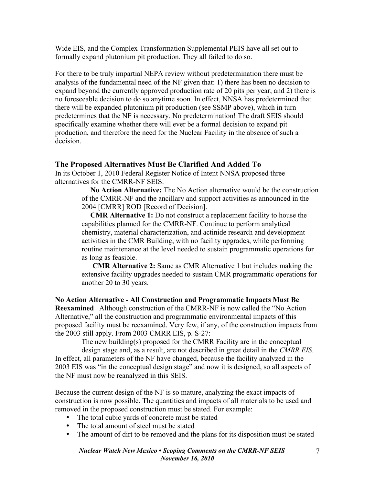Wide EIS, and the Complex Transformation Supplemental PEIS have all set out to formally expand plutonium pit production. They all failed to do so.

For there to be truly impartial NEPA review without predetermination there must be analysis of the fundamental need of the NF given that: 1) there has been no decision to expand beyond the currently approved production rate of 20 pits per year; and 2) there is no foreseeable decision to do so anytime soon. In effect, NNSA has predetermined that there will be expanded plutonium pit production (see SSMP above), which in turn predetermines that the NF is necessary. No predetermination! The draft SEIS should specifically examine whether there will ever be a formal decision to expand pit production, and therefore the need for the Nuclear Facility in the absence of such a decision.

#### **The Proposed Alternatives Must Be Clarified And Added To**

In its October 1, 2010 Federal Register Notice of Intent NNSA proposed three alternatives for the CMRR-NF SEIS:

**No Action Alternative:** The No Action alternative would be the construction of the CMRR-NF and the ancillary and support activities as announced in the 2004 [CMRR] ROD [Record of Decision].

**CMR Alternative 1:** Do not construct a replacement facility to house the capabilities planned for the CMRR-NF. Continue to perform analytical chemistry, material characterization, and actinide research and development activities in the CMR Building, with no facility upgrades, while performing routine maintenance at the level needed to sustain programmatic operations for as long as feasible.

**CMR Alternative 2:** Same as CMR Alternative 1 but includes making the extensive facility upgrades needed to sustain CMR programmatic operations for another 20 to 30 years.

**No Action Alternative - All Construction and Programmatic Impacts Must Be Reexamined** Although construction of the CMRR-NF is now called the "No Action Alternative," all the construction and programmatic environmental impacts of this proposed facility must be reexamined. Very few, if any, of the construction impacts from the 2003 still apply. From 2003 CMRR EIS, p. S-27:

The new building(s) proposed for the CMRR Facility are in the conceptual design stage and, as a result, are not described in great detail in the *CMRR EIS*. In effect, all parameters of the NF have changed, because the facility analyzed in the 2003 EIS was "in the conceptual design stage" and now it is designed, so all aspects of the NF must now be reanalyzed in this SEIS.

Because the current design of the NF is so mature, analyzing the exact impacts of construction is now possible. The quantities and impacts of all materials to be used and removed in the proposed construction must be stated. For example:

- The total cubic vards of concrete must be stated
- The total amount of steel must be stated
- The amount of dirt to be removed and the plans for its disposition must be stated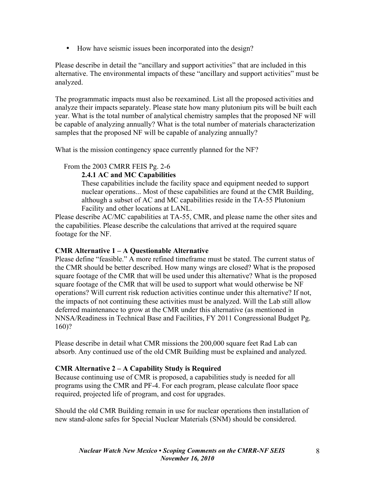• How have seismic issues been incorporated into the design?

Please describe in detail the "ancillary and support activities" that are included in this alternative. The environmental impacts of these "ancillary and support activities" must be analyzed.

The programmatic impacts must also be reexamined. List all the proposed activities and analyze their impacts separately. Please state how many plutonium pits will be built each year. What is the total number of analytical chemistry samples that the proposed NF will be capable of analyzing annually? What is the total number of materials characterization samples that the proposed NF will be capable of analyzing annually?

What is the mission contingency space currently planned for the NF?

#### From the 2003 CMRR FEIS Pg. 2-6

#### **2.4.1 AC and MC Capabilities**

These capabilities include the facility space and equipment needed to support nuclear operations... Most of these capabilities are found at the CMR Building, although a subset of AC and MC capabilities reside in the TA-55 Plutonium Facility and other locations at LANL.

Please describe AC/MC capabilities at TA-55, CMR, and please name the other sites and the capabilities. Please describe the calculations that arrived at the required square footage for the NF.

### **CMR Alternative 1 – A Questionable Alternative**

Please define "feasible." A more refined timeframe must be stated. The current status of the CMR should be better described. How many wings are closed? What is the proposed square footage of the CMR that will be used under this alternative? What is the proposed square footage of the CMR that will be used to support what would otherwise be NF operations? Will current risk reduction activities continue under this alternative? If not, the impacts of not continuing these activities must be analyzed. Will the Lab still allow deferred maintenance to grow at the CMR under this alternative (as mentioned in NNSA/Readiness in Technical Base and Facilities, FY 2011 Congressional Budget Pg. 160)?

Please describe in detail what CMR missions the 200,000 square feet Rad Lab can absorb. Any continued use of the old CMR Building must be explained and analyzed.

### **CMR Alternative 2 – A Capability Study is Required**

Because continuing use of CMR is proposed, a capabilities study is needed for all programs using the CMR and PF-4. For each program, please calculate floor space required, projected life of program, and cost for upgrades.

Should the old CMR Building remain in use for nuclear operations then installation of new stand-alone safes for Special Nuclear Materials (SNM) should be considered.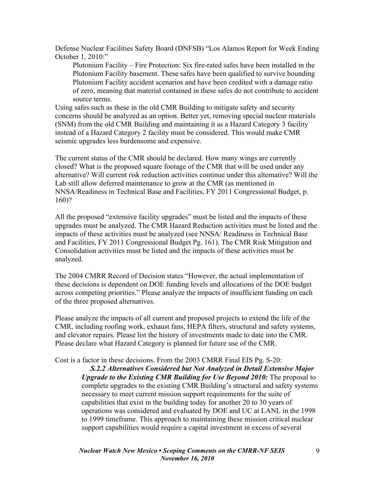Defense Nuclear Facilities Safety Board (DNFSB) "Los Alamos Report for Week Ending October 1, 2010:"

Plutonium Facility – Fire Protection: Six fire-rated safes have been installed in the Plutonium Facility basement. These safes have been qualified to survive bounding Plutonium Facility accident scenarios and have been credited with a damage ratio of zero, meaning that material contained in these safes do not contribute to accident source terms.

Using safes such as these in the old CMR Building to mitigate safety and security concerns should be analyzed as an option. Better yet, removing special nuclear materials (SNM) from the old CMR Building and maintaining it as a Hazard Category 3 facility instead of a Hazard Category 2 facility must be considered. This would make CMR seismic upgrades less burdensome and expensive.

The current status of the CMR should be declared. How many wings are currently closed? What is the proposed square footage of the CMR that will be used under any alternative? Will current risk reduction activities continue under this alternative? Will the Lab still allow deferred maintenance to grow at the CMR (as mentioned in NNSA/Readiness in Technical Base and Facilities, FY 2011 Congressional Budget, p. 160)?

All the proposed "extensive facility upgrades" must be listed and the impacts of these upgrades must be analyzed. The CMR Hazard Reduction activities must be listed and the impacts of these activities must be analyzed (see NNSA/ Readiness in Technical Base and Facilities, FY 2011 Congressional Budget Pg. 161). The CMR Risk Mitigation and Consolidation activities must be listed and the impacts of these activities must be analyzed.

The 2004 CMRR Record of Decision states "However, the actual implementation of these decisions is dependent on DOE funding levels and allocations of the DOE budget across competing priorities." Please analyze the impacts of insufficient funding on each of the three proposed alternatives.

Please analyze the impacts of all current and proposed projects to extend the life of the CMR, including roofing work, exhaust fans, HEPA filters, structural and safety systems, and elevator repairs. Please list the history of investments made to date into the CMR. Please declare what Hazard Category is planned for future use of the CMR.

Cost is a factor in these decisions. From the 2003 CMRR Final EIS Pg. S-20:

*S.2.2 Alternatives Considered but Not Analyzed in Detail Extensive Major Upgrade to the Existing CMR Building for Use Beyond 2010:* The proposal to complete upgrades to the existing CMR Building's structural and safety systems necessary to meet current mission support requirements for the suite of capabilities that exist in the building today for another 20 to 30 years of operations was considered and evaluated by DOE and UC at LANL in the 1998 to 1999 timeframe. This approach to maintaining these mission critical nuclear support capabilities would require a capital investment in excess of several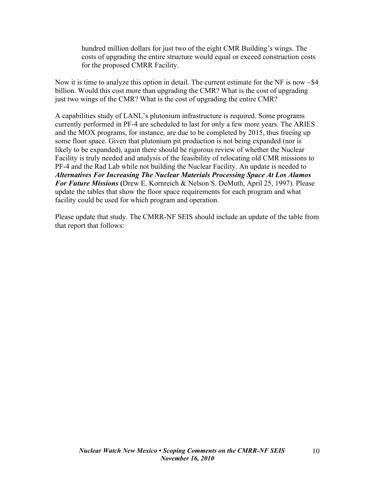hundred million dollars for just two of the eight CMR Building's wings. The costs of upgrading the entire structure would equal or exceed construction costs for the proposed CMRR Facility.

Now it is time to analyze this option in detail. The current estimate for the NF is now  $\sim$  \$4 billion. Would this cost more than upgrading the CMR? What is the cost of upgrading just two wings of the CMR? What is the cost of upgrading the entire CMR?

A capabilities study of LANL's plutonium infrastructure is required. Some programs currently performed in PF-4 are scheduled to last for only a few more years. The ARIES and the MOX programs, for instance, are due to be completed by 2015, thus freeing up some floor space. Given that plutonium pit production is not being expanded (nor is likely to be expanded), again there should be rigorous review of whether the Nuclear Facility is truly needed and analysis of the feasibility of relocating old CMR missions to PF-4 and the Rad Lab while not building the Nuclear Facility. An update is needed to *Alternatives For Increasing The Nuclear Materials Processing Space At Los Alamos For Future Missions* **(**Drew E. Kornreich & Nelson S. DeMuth, April 25, 1997). Please update the tables that show the floor space requirements for each program and what facility could be used for which program and operation.

Please update that study. The CMRR-NF SEIS should include an update of the table from that report that follows: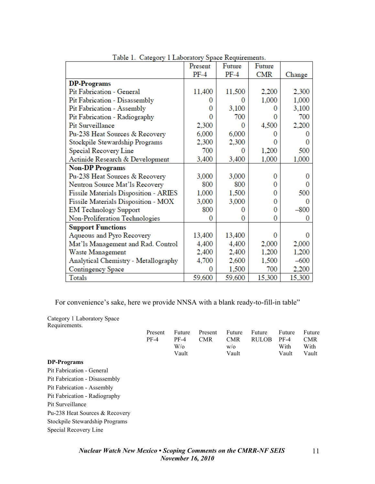|                                       | Present | Future | Future     |        |
|---------------------------------------|---------|--------|------------|--------|
|                                       | $PF-4$  | $PF-4$ | <b>CMR</b> | Change |
| <b>DP-Programs</b>                    |         |        |            |        |
| Pit Fabrication - General             | 11,400  | 11,500 | 2,200      | 2,300  |
| Pit Fabrication - Disassembly         | 0       | 0      | 1,000      | 1,000  |
| Pit Fabrication - Assembly            | 0       | 3,100  |            | 3,100  |
| Pit Fabrication - Radiography         | 0       | 700    | O          | 700    |
| Pit Surveillance                      | 2,300   | 0      | 4,500      | 2,200  |
| Pu-238 Heat Sources & Recovery        | 6,000   | 6,000  |            |        |
| Stockpile Stewardship Programs        | 2,300   | 2,300  | 0          |        |
| Special Recovery Line                 | 700     | 0      | 1,200      | 500    |
| Actinide Research & Development       | 3,400   | 3,400  | 1,000      | 1,000  |
| <b>Non-DP Programs</b>                |         |        |            |        |
| Pu-238 Heat Sources & Recovery        | 3,000   | 3,000  | 0          |        |
| Neutron Source Mat'ls Recovery        | 800     | 800    | 0          |        |
| Fissile Materials Disposition - ARIES | 1,000   | 1,500  | 0          | 500    |
| Fissile Materials Disposition - MOX   | 3,000   | 3,000  | 0          |        |
| <b>EM Technology Support</b>          | 800     | 0      | 0          | $-800$ |
| Non-Proliferation Technologies        | 0       | 0      | 0          |        |
| <b>Support Functions</b>              |         |        |            |        |
| Aqueous and Pyro Recovery             | 13,400  | 13,400 | O          |        |
| Mat'ls Management and Rad. Control    | 4,400   | 4,400  | 2,000      | 2,000  |
| Waste Management                      | 2,400   | 2,400  | 1,200      | 1,200  |
| Analytical Chemistry - Metallography  | 4,700   | 2,600  | 1,500      | $-600$ |
| Contingency Space                     | 0       | 1,500  | 700        | 2,200  |
| Totals                                | 59,600  | 59,600 | 15,300     | 15,300 |

Table 1. Category 1 Laboratory Space Requirements.

For convenience's sake, here we provide NNSA with a blank ready-to-fill-in table"

Category 1 Laboratory Space Requirements.

|                                | Present<br>$PF-4$ | Future<br>$PF-4$<br>$W$ /0<br>Vault | Present<br><b>CMR</b> | Future<br><b>CMR</b><br>W/O<br>Vault | Future<br><b>RULOB</b> | Future<br>$PF-4$<br>With<br>Vault | Future<br><b>CMR</b><br>With<br>Vault |
|--------------------------------|-------------------|-------------------------------------|-----------------------|--------------------------------------|------------------------|-----------------------------------|---------------------------------------|
| DP-Programs                    |                   |                                     |                       |                                      |                        |                                   |                                       |
| Pit Fabrication - General      |                   |                                     |                       |                                      |                        |                                   |                                       |
| Pit Fabrication - Disassembly  |                   |                                     |                       |                                      |                        |                                   |                                       |
| Pit Fabrication - Assembly     |                   |                                     |                       |                                      |                        |                                   |                                       |
| Pit Fabrication - Radiography  |                   |                                     |                       |                                      |                        |                                   |                                       |
| Pit Surveillance               |                   |                                     |                       |                                      |                        |                                   |                                       |
| Pu-238 Heat Sources & Recovery |                   |                                     |                       |                                      |                        |                                   |                                       |
| Stockpile Stewardship Programs |                   |                                     |                       |                                      |                        |                                   |                                       |
| Special Recovery Line          |                   |                                     |                       |                                      |                        |                                   |                                       |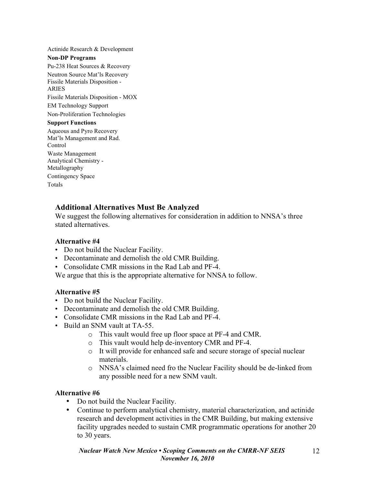Actinide Research & Development **Non-DP Programs** Pu-238 Heat Sources & Recovery Neutron Source Mat'ls Recovery Fissile Materials Disposition - ARIES Fissile Materials Disposition - MOX EM Technology Support Non-Proliferation Technologies **Support Functions** Aqueous and Pyro Recovery Mat'ls Management and Rad. Control Waste Management Analytical Chemistry - Metallography Contingency Space Totals

### **Additional Alternatives Must Be Analyzed**

We suggest the following alternatives for consideration in addition to NNSA's three stated alternatives.

#### **Alternative #4**

- Do not build the Nuclear Facility.
- Decontaminate and demolish the old CMR Building.
- Consolidate CMR missions in the Rad Lab and PF-4.

We argue that this is the appropriate alternative for NNSA to follow.

#### **Alternative #5**

- Do not build the Nuclear Facility.
- Decontaminate and demolish the old CMR Building.
- Consolidate CMR missions in the Rad Lab and PF-4.
- Build an SNM vault at TA-55.
	- o This vault would free up floor space at PF-4 and CMR.
	- o This vault would help de-inventory CMR and PF-4.
	- o It will provide for enhanced safe and secure storage of special nuclear materials.
	- o NNSA's claimed need fro the Nuclear Facility should be de-linked from any possible need for a new SNM vault.

#### **Alternative #6**

- Do not build the Nuclear Facility.
- Continue to perform analytical chemistry, material characterization, and actinide research and development activities in the CMR Building, but making extensive facility upgrades needed to sustain CMR programmatic operations for another 20 to 30 years.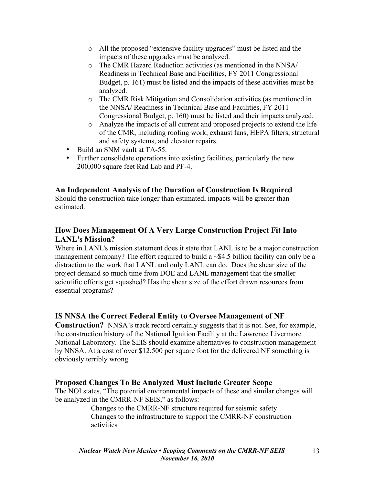- o All the proposed "extensive facility upgrades" must be listed and the impacts of these upgrades must be analyzed.
- o The CMR Hazard Reduction activities (as mentioned in the NNSA/ Readiness in Technical Base and Facilities, FY 2011 Congressional Budget, p. 161) must be listed and the impacts of these activities must be analyzed.
- o The CMR Risk Mitigation and Consolidation activities (as mentioned in the NNSA/ Readiness in Technical Base and Facilities, FY 2011 Congressional Budget, p. 160) must be listed and their impacts analyzed.
- o Analyze the impacts of all current and proposed projects to extend the life of the CMR, including roofing work, exhaust fans, HEPA filters, structural and safety systems, and elevator repairs.
- Build an SNM vault at TA-55.
- Further consolidate operations into existing facilities, particularly the new 200,000 square feet Rad Lab and PF-4.

### **An Independent Analysis of the Duration of Construction Is Required**

Should the construction take longer than estimated, impacts will be greater than estimated.

# **How Does Management Of A Very Large Construction Project Fit Into LANL's Mission?**

Where in LANL's mission statement does it state that LANL is to be a major construction management company? The effort required to build a  $\sim$ \$4.5 billion facility can only be a distraction to the work that LANL and only LANL can do. Does the shear size of the project demand so much time from DOE and LANL management that the smaller scientific efforts get squashed? Has the shear size of the effort drawn resources from essential programs?

### **IS NNSA the Correct Federal Entity to Oversee Management of NF**

**Construction?** NNSA's track record certainly suggests that it is not. See, for example, the construction history of the National Ignition Facility at the Lawrence Livermore National Laboratory. The SEIS should examine alternatives to construction management by NNSA. At a cost of over \$12,500 per square foot for the delivered NF something is obviously terribly wrong.

### **Proposed Changes To Be Analyzed Must Include Greater Scope**

The NOI states, "The potential environmental impacts of these and similar changes will be analyzed in the CMRR-NF SEIS," as follows:

> Changes to the CMRR-NF structure required for seismic safety Changes to the infrastructure to support the CMRR-NF construction activities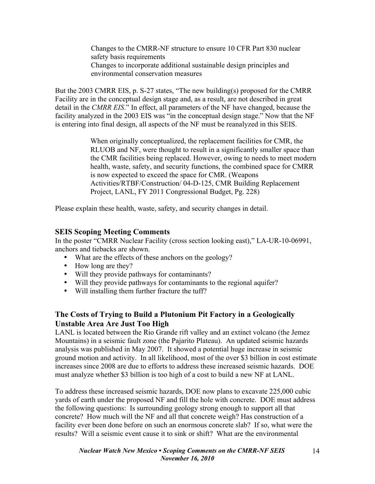Changes to the CMRR-NF structure to ensure 10 CFR Part 830 nuclear safety basis requirements Changes to incorporate additional sustainable design principles and environmental conservation measures

But the 2003 CMRR EIS, p. S-27 states, "The new building(s) proposed for the CMRR Facility are in the conceptual design stage and, as a result, are not described in great detail in the *CMRR EIS*." In effect, all parameters of the NF have changed, because the facility analyzed in the 2003 EIS was "in the conceptual design stage." Now that the NF is entering into final design, all aspects of the NF must be reanalyzed in this SEIS.

> When originally conceptualized, the replacement facilities for CMR, the RLUOB and NF, were thought to result in a significantly smaller space than the CMR facilities being replaced. However, owing to needs to meet modern health, waste, safety, and security functions, the combined space for CMRR is now expected to exceed the space for CMR. (Weapons Activities/RTBF/Construction/ 04-D-125, CMR Building Replacement Project, LANL, FY 2011 Congressional Budget, Pg. 228)

Please explain these health, waste, safety, and security changes in detail.

## **SEIS Scoping Meeting Comments**

In the poster "CMRR Nuclear Facility (cross section looking east)," LA-UR-10-06991, anchors and tiebacks are shown.

- What are the effects of these anchors on the geology?
- How long are they?
- Will they provide pathways for contaminants?
- Will they provide pathways for contaminants to the regional aquifer?
- Will installing them further fracture the tuff?

# **The Costs of Trying to Build a Plutonium Pit Factory in a Geologically Unstable Area Are Just Too High**

LANL is located between the Rio Grande rift valley and an extinct volcano (the Jemez Mountains) in a seismic fault zone (the Pajarito Plateau). An updated seismic hazards analysis was published in May 2007. It showed a potential huge increase in seismic ground motion and activity. In all likelihood, most of the over \$3 billion in cost estimate increases since 2008 are due to efforts to address these increased seismic hazards. DOE must analyze whether \$3 billion is too high of a cost to build a new NF at LANL.

To address these increased seismic hazards, DOE now plans to excavate 225,000 cubic yards of earth under the proposed NF and fill the hole with concrete. DOE must address the following questions: Is surrounding geology strong enough to support all that concrete? How much will the NF and all that concrete weigh? Has construction of a facility ever been done before on such an enormous concrete slab? If so, what were the results? Will a seismic event cause it to sink or shift? What are the environmental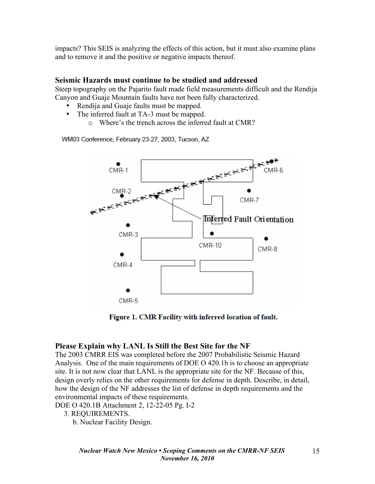impacts? This SEIS is analyzing the effects of this action, but it must also examine plans and to remove it and the positive or negative impacts thereof.

#### **Seismic Hazards must continue to be studied and addressed**

Steep topography on the Pajarito fault made field measurements difficult and the Rendija Canyon and Guaje Mountain faults have not been fully characterized.

- Rendija and Guaje faults must be mapped.
- The inferred fault at TA-3 must be mapped.
	- o Where's the trench across the inferred fault at CMR?

WM03 Conference, February 23-27, 2003, Tucson, AZ



Figure 1. CMR Facility with inferred location of fault.

### **Please Explain why LANL Is Still the Best Site for the NF**

The 2003 CMRR EIS was completed before the 2007 Probabilistic Seismic Hazard Analysis. One of the main requirements of DOE O 420.1b is to choose an appropriate site. It is not now clear that LANL is the appropriate site for the NF. Because of this, design overly relies on the other requirements for defense in depth. Describe, in detail, how the design of the NF addresses the list of defense in depth requirements and the environmental impacts of these requirements.

DOE O 420.1B Attachment 2, 12-22-05 Pg. I-2

- 3. REQUIREMENTS.
	- b. Nuclear Facility Design.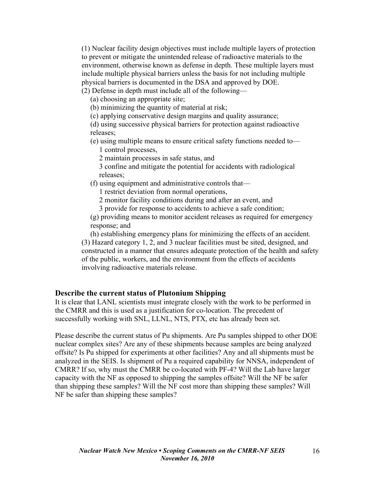(1) Nuclear facility design objectives must include multiple layers of protection to prevent or mitigate the unintended release of radioactive materials to the environment, otherwise known as defense in depth. These multiple layers must include multiple physical barriers unless the basis for not including multiple physical barriers is documented in the DSA and approved by DOE.

(2) Defense in depth must include all of the following—

(a) choosing an appropriate site;

(b) minimizing the quantity of material at risk;

(c) applying conservative design margins and quality assurance;

(d) using successive physical barriers for protection against radioactive releases;

(e) using multiple means to ensure critical safety functions needed to—

1 control processes,

2 maintain processes in safe status, and

3 confine and mitigate the potential for accidents with radiological releases;

(f) using equipment and administrative controls that—

1 restrict deviation from normal operations,

2 monitor facility conditions during and after an event, and

3 provide for response to accidents to achieve a safe condition;

(g) providing means to monitor accident releases as required for emergency response; and

(h) establishing emergency plans for minimizing the effects of an accident. (3) Hazard category 1, 2, and 3 nuclear facilities must be sited, designed, and constructed in a manner that ensures adequate protection of the health and safety of the public, workers, and the environment from the effects of accidents involving radioactive materials release.

#### **Describe the current status of Plutonium Shipping**

It is clear that LANL scientists must integrate closely with the work to be performed in the CMRR and this is used as a justification for co-location. The precedent of successfully working with SNL, LLNL, NTS, PTX, etc has already been set.

Please describe the current status of Pu shipments. Are Pu samples shipped to other DOE nuclear complex sites? Are any of these shipments because samples are being analyzed offsite? Is Pu shipped for experiments at other facilities? Any and all shipments must be analyzed in the SEIS. Is shipment of Pu a required capability for NNSA, independent of CMRR? If so, why must the CMRR be co-located with PF-4? Will the Lab have larger capacity with the NF as opposed to shipping the samples offsite? Will the NF be safer than shipping these samples? Will the NF cost more than shipping these samples? Will NF be safer than shipping these samples?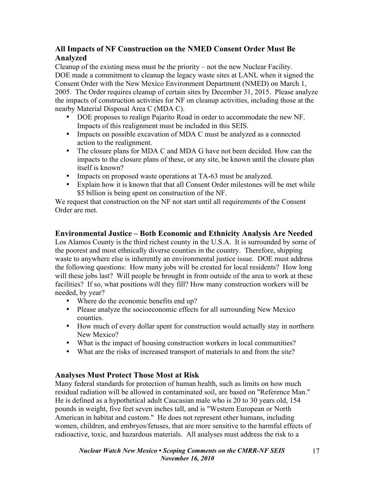# **All Impacts of NF Construction on the NMED Consent Order Must Be Analyzed**

Cleanup of the existing mess must be the priority – not the new Nuclear Facility. DOE made a commitment to cleanup the legacy waste sites at LANL when it signed the Consent Order with the New Mexico Environment Department (NMED) on March 1, 2005. The Order requires cleanup of certain sites by December 31, 2015. Please analyze the impacts of construction activities for NF on cleanup activities, including those at the nearby Material Disposal Area C (MDA C).

- DOE proposes to realign Pajarito Road in order to accommodate the new NF. Impacts of this realignment must be included in this SEIS.
- Impacts on possible excavation of MDA C must be analyzed as a connected action to the realignment.
- The closure plans for MDA C and MDA G have not been decided. How can the impacts to the closure plans of these, or any site, be known until the closure plan itself is known?
- Impacts on proposed waste operations at TA-63 must be analyzed.
- Explain how it is known that that all Consent Order milestones will be met while \$5 billion is being spent on construction of the NF.

We request that construction on the NF not start until all requirements of the Consent Order are met.

### **Environmental Justice – Both Economic and Ethnicity Analysis Are Needed**

Los Alamos County is the third richest county in the U.S.A. It is surrounded by some of the poorest and most ethnically diverse counties in the country. Therefore, shipping waste to anywhere else is inherently an environmental justice issue. DOE must address the following questions: How many jobs will be created for local residents? How long will these jobs last? Will people be brought in from outside of the area to work at these facilities? If so, what positions will they fill? How many construction workers will be needed, by year?

- Where do the economic benefits end up?
- Please analyze the socioeconomic effects for all surrounding New Mexico counties.
- How much of every dollar spent for construction would actually stay in northern New Mexico?
- What is the impact of housing construction workers in local communities?
- What are the risks of increased transport of materials to and from the site?

### **Analyses Must Protect Those Most at Risk**

Many federal standards for protection of human health, such as limits on how much residual radiation will be allowed in contaminated soil, are based on "Reference Man." He is defined as a hypothetical adult Caucasian male who is 20 to 30 years old, 154 pounds in weight, five feet seven inches tall, and is "Western European or North American in habitat and custom." He does not represent other humans, including women, children, and embryos/fetuses, that are more sensitive to the harmful effects of radioactive, toxic, and hazardous materials. All analyses must address the risk to a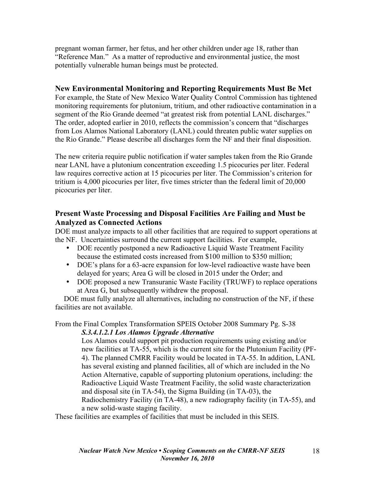pregnant woman farmer, her fetus, and her other children under age 18, rather than "Reference Man." As a matter of reproductive and environmental justice, the most potentially vulnerable human beings must be protected.

## **New Environmental Monitoring and Reporting Requirements Must Be Met**

For example, the State of New Mexico Water Quality Control Commission has tightened monitoring requirements for plutonium, tritium, and other radioactive contamination in a segment of the Rio Grande deemed "at greatest risk from potential LANL discharges." The order, adopted earlier in 2010, reflects the commission's concern that "discharges from Los Alamos National Laboratory (LANL) could threaten public water supplies on the Rio Grande." Please describe all discharges form the NF and their final disposition.

The new criteria require public notification if water samples taken from the Rio Grande near LANL have a plutonium concentration exceeding 1.5 picocuries per liter. Federal law requires corrective action at 15 picocuries per liter. The Commission's criterion for tritium is 4,000 picocuries per liter, five times stricter than the federal limit of 20,000 picocuries per liter.

## **Present Waste Processing and Disposal Facilities Are Failing and Must be Analyzed as Connected Actions**

DOE must analyze impacts to all other facilities that are required to support operations at the NF. Uncertainties surround the current support facilities. For example,

- DOE recently postponed a new Radioactive Liquid Waste Treatment Facility because the estimated costs increased from \$100 million to \$350 million;
- DOE's plans for a 63-acre expansion for low-level radioactive waste have been delayed for years; Area G will be closed in 2015 under the Order; and
- DOE proposed a new Transuranic Waste Facility (TRUWF) to replace operations at Area G, but subsequently withdrew the proposal.

DOE must fully analyze all alternatives, including no construction of the NF, if these facilities are not available.

#### From the Final Complex Transformation SPEIS October 2008 Summary Pg. S-38 *S.3.4.1.2.1 Los Alamos Upgrade Alternative*

Los Alamos could support pit production requirements using existing and/or new facilities at TA-55, which is the current site for the Plutonium Facility (PF-4). The planned CMRR Facility would be located in TA-55. In addition, LANL has several existing and planned facilities, all of which are included in the No Action Alternative, capable of supporting plutonium operations, including: the Radioactive Liquid Waste Treatment Facility, the solid waste characterization and disposal site (in TA-54), the Sigma Building (in TA-03), the Radiochemistry Facility (in TA-48), a new radiography facility (in TA-55), and a new solid-waste staging facility.

These facilities are examples of facilities that must be included in this SEIS.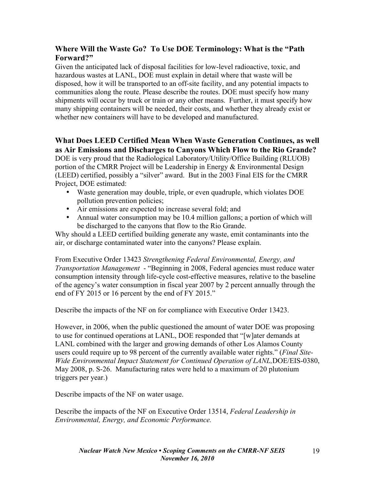# **Where Will the Waste Go? To Use DOE Terminology: What is the "Path Forward?"**

Given the anticipated lack of disposal facilities for low-level radioactive, toxic, and hazardous wastes at LANL, DOE must explain in detail where that waste will be disposed, how it will be transported to an off-site facility, and any potential impacts to communities along the route. Please describe the routes. DOE must specify how many shipments will occur by truck or train or any other means. Further, it must specify how many shipping containers will be needed, their costs, and whether they already exist or whether new containers will have to be developed and manufactured.

# **What Does LEED Certified Mean When Waste Generation Continues, as well as Air Emissions and Discharges to Canyons Which Flow to the Rio Grande?**

DOE is very proud that the Radiological Laboratory/Utility/Office Building (RLUOB) portion of the CMRR Project will be Leadership in Energy & Environmental Design (LEED) certified, possibly a "silver" award. But in the 2003 Final EIS for the CMRR Project, DOE estimated:

- Waste generation may double, triple, or even quadruple, which violates DOE pollution prevention policies;
- Air emissions are expected to increase several fold; and
- Annual water consumption may be 10.4 million gallons; a portion of which will be discharged to the canyons that flow to the Rio Grande.

Why should a LEED certified building generate any waste, emit contaminants into the air, or discharge contaminated water into the canyons? Please explain.

From Executive Order 13423 *Strengthening Federal Environmental, Energy, and Transportation Management* - "Beginning in 2008, Federal agencies must reduce water consumption intensity through life-cycle cost-effective measures, relative to the baseline of the agency's water consumption in fiscal year 2007 by 2 percent annually through the end of FY 2015 or 16 percent by the end of FY 2015."

Describe the impacts of the NF on for compliance with Executive Order 13423.

However, in 2006, when the public questioned the amount of water DOE was proposing to use for continued operations at LANL, DOE responded that "[w]ater demands at LANL combined with the larger and growing demands of other Los Alamos County users could require up to 98 percent of the currently available water rights." (*Final Site-Wide Environmental Impact Statement for Continued Operation of LANL,*DOE/EIS-0380, May 2008, p. S-26. Manufacturing rates were held to a maximum of 20 plutonium triggers per year.)

Describe impacts of the NF on water usage.

Describe the impacts of the NF on Executive Order 13514, *Federal Leadership in Environmental, Energy, and Economic Performance.*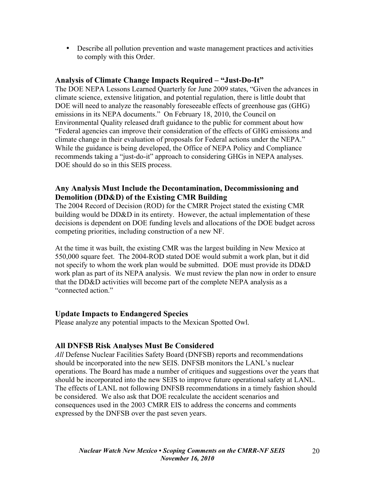• Describe all pollution prevention and waste management practices and activities to comply with this Order.

#### **Analysis of Climate Change Impacts Required – "Just-Do-It"**

The DOE NEPA Lessons Learned Quarterly for June 2009 states, "Given the advances in climate science, extensive litigation, and potential regulation, there is little doubt that DOE will need to analyze the reasonably foreseeable effects of greenhouse gas (GHG) emissions in its NEPA documents." On February 18, 2010, the Council on Environmental Quality released draft guidance to the public for comment about how "Federal agencies can improve their consideration of the effects of GHG emissions and climate change in their evaluation of proposals for Federal actions under the NEPA." While the guidance is being developed, the Office of NEPA Policy and Compliance recommends taking a "just-do-it" approach to considering GHGs in NEPA analyses. DOE should do so in this SEIS process.

## **Any Analysis Must Include the Decontamination, Decommissioning and Demolition (DD&D) of the Existing CMR Building**

The 2004 Record of Decision (ROD) for the CMRR Project stated the existing CMR building would be DD&D in its entirety. However, the actual implementation of these decisions is dependent on DOE funding levels and allocations of the DOE budget across competing priorities, including construction of a new NF.

At the time it was built, the existing CMR was the largest building in New Mexico at 550,000 square feet. The 2004-ROD stated DOE would submit a work plan, but it did not specify to whom the work plan would be submitted. DOE must provide its DD&D work plan as part of its NEPA analysis. We must review the plan now in order to ensure that the DD&D activities will become part of the complete NEPA analysis as a "connected action."

#### **Update Impacts to Endangered Species**

Please analyze any potential impacts to the Mexican Spotted Owl.

### **All DNFSB Risk Analyses Must Be Considered**

*All* Defense Nuclear Facilities Safety Board (DNFSB) reports and recommendations should be incorporated into the new SEIS. DNFSB monitors the LANL's nuclear operations. The Board has made a number of critiques and suggestions over the years that should be incorporated into the new SEIS to improve future operational safety at LANL. The effects of LANL not following DNFSB recommendations in a timely fashion should be considered. We also ask that DOE recalculate the accident scenarios and consequences used in the 2003 CMRR EIS to address the concerns and comments expressed by the DNFSB over the past seven years.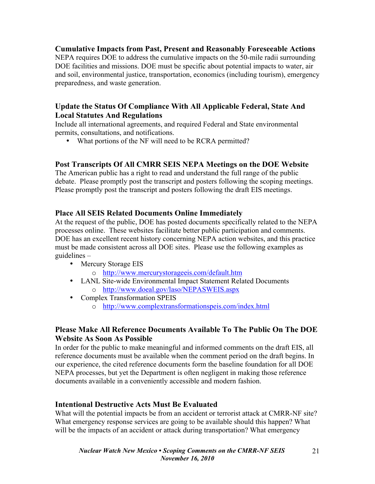### **Cumulative Impacts from Past, Present and Reasonably Foreseeable Actions**

NEPA requires DOE to address the cumulative impacts on the 50-mile radii surrounding DOE facilities and missions. DOE must be specific about potential impacts to water, air and soil, environmental justice, transportation, economics (including tourism), emergency preparedness, and waste generation.

## **Update the Status Of Compliance With All Applicable Federal, State And Local Statutes And Regulations**

Include all international agreements, and required Federal and State environmental permits, consultations, and notifications.

• What portions of the NF will need to be RCRA permitted?

## **Post Transcripts Of All CMRR SEIS NEPA Meetings on the DOE Website**

The American public has a right to read and understand the full range of the public debate. Please promptly post the transcript and posters following the scoping meetings. Please promptly post the transcript and posters following the draft EIS meetings.

### **Place All SEIS Related Documents Online Immediately**

At the request of the public, DOE has posted documents specifically related to the NEPA processes online. These websites facilitate better public participation and comments. DOE has an excellent recent history concerning NEPA action websites, and this practice must be made consistent across all DOE sites. Please use the following examples as guidelines –

- Mercury Storage EIS
	- o http://www.mercurystorageeis.com/default.htm
- LANL Site-wide Environmental Impact Statement Related Documents o http://www.doeal.gov/laso/NEPASWEIS.aspx
- Complex Transformation SPEIS
	- o http://www.complextransformationspeis.com/index.html

### **Please Make All Reference Documents Available To The Public On The DOE Website As Soon As Possible**

In order for the public to make meaningful and informed comments on the draft EIS, all reference documents must be available when the comment period on the draft begins. In our experience, the cited reference documents form the baseline foundation for all DOE NEPA processes, but yet the Department is often negligent in making those reference documents available in a conveniently accessible and modern fashion.

# **Intentional Destructive Acts Must Be Evaluated**

What will the potential impacts be from an accident or terrorist attack at CMRR-NF site? What emergency response services are going to be available should this happen? What will be the impacts of an accident or attack during transportation? What emergency

21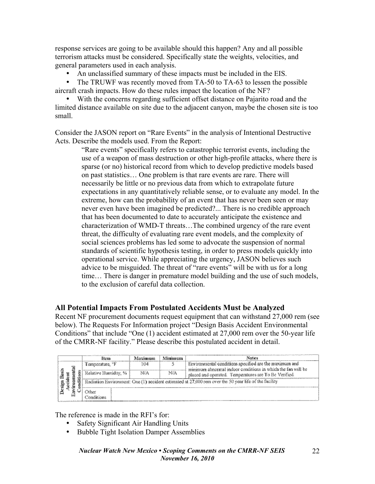response services are going to be available should this happen? Any and all possible terrorism attacks must be considered. Specifically state the weights, velocities, and general parameters used in each analysis.

- An unclassified summary of these impacts must be included in the EIS.
- The TRUWF was recently moved from TA-50 to TA-63 to lessen the possible aircraft crash impacts. How do these rules impact the location of the NF?

• With the concerns regarding sufficient offset distance on Pajarito road and the limited distance available on site due to the adjacent canyon, maybe the chosen site is too small.

Consider the JASON report on "Rare Events" in the analysis of Intentional Destructive Acts. Describe the models used. From the Report:

> "Rare events" specifically refers to catastrophic terrorist events, including the use of a weapon of mass destruction or other high-profile attacks, where there is sparse (or no) historical record from which to develop predictive models based on past statistics… One problem is that rare events are rare. There will necessarily be little or no previous data from which to extrapolate future expectations in any quantitatively reliable sense, or to evaluate any model. In the extreme, how can the probability of an event that has never been seen or may never even have been imagined be predicted?... There is no credible approach that has been documented to date to accurately anticipate the existence and characterization of WMD-T threats…The combined urgency of the rare event threat, the difficulty of evaluating rare event models, and the complexity of social sciences problems has led some to advocate the suspension of normal standards of scientific hypothesis testing, in order to press models quickly into operational service. While appreciating the urgency, JASON believes such advice to be misguided. The threat of "rare events" will be with us for a long time… There is danger in premature model building and the use of such models, to the exclusion of careful data collection.

### **All Potential Impacts From Postulated Accidents Must be Analyzed**

Recent NF procurement documents request equipment that can withstand 27,000 rem (see below). The Requests For Information project "Design Basis Accident Environmental Conditions" that include "One (1) accident estimated at 27,000 rem over the 50-year life of the CMRR-NF facility." Please describe this postulated accident in detail.

|   | Item                        | Maximum | Minimum | Notes                                                                                                                |
|---|-----------------------------|---------|---------|----------------------------------------------------------------------------------------------------------------------|
|   | Temperature, <sup>o</sup> F | 104     |         | Environmental conditions specified are the maximum and                                                               |
| œ | Relative Humidity, %        | NIA     | N/A     | minimum abnormal indoor conditions in which the fan will be<br>placed and operated. Temperatures are To Be Verified. |
|   |                             |         |         | Radiation Environment: One (1) accident estimated at 27,000 rem over the 50 year life of the facility                |
|   | nner                        |         |         |                                                                                                                      |
|   |                             |         |         |                                                                                                                      |

The reference is made in the RFI's for:

- Safety Significant Air Handling Units
- Bubble Tight Isolation Damper Assemblies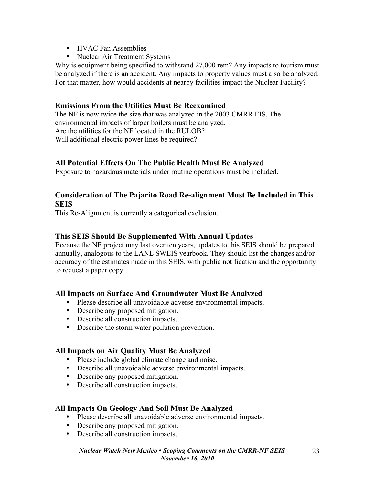- HVAC Fan Assemblies
- Nuclear Air Treatment Systems

Why is equipment being specified to withstand 27,000 rem? Any impacts to tourism must be analyzed if there is an accident. Any impacts to property values must also be analyzed. For that matter, how would accidents at nearby facilities impact the Nuclear Facility?

## **Emissions From the Utilities Must Be Reexamined**

The NF is now twice the size that was analyzed in the 2003 CMRR EIS. The environmental impacts of larger boilers must be analyzed. Are the utilities for the NF located in the RULOB? Will additional electric power lines be required?

## **All Potential Effects On The Public Health Must Be Analyzed**

Exposure to hazardous materials under routine operations must be included.

## **Consideration of The Pajarito Road Re-alignment Must Be Included in This SEIS**

This Re-Alignment is currently a categorical exclusion.

## **This SEIS Should Be Supplemented With Annual Updates**

Because the NF project may last over ten years, updates to this SEIS should be prepared annually, analogous to the LANL SWEIS yearbook. They should list the changes and/or accuracy of the estimates made in this SEIS, with public notification and the opportunity to request a paper copy.

### **All Impacts on Surface And Groundwater Must Be Analyzed**

- Please describe all unavoidable adverse environmental impacts.
- Describe any proposed mitigation.
- Describe all construction impacts.
- Describe the storm water pollution prevention.

### **All Impacts on Air Quality Must Be Analyzed**

- Please include global climate change and noise.
- Describe all unavoidable adverse environmental impacts.
- Describe any proposed mitigation.
- Describe all construction impacts.

# **All Impacts On Geology And Soil Must Be Analyzed**

- Please describe all unavoidable adverse environmental impacts.
- Describe any proposed mitigation.
- Describe all construction impacts.